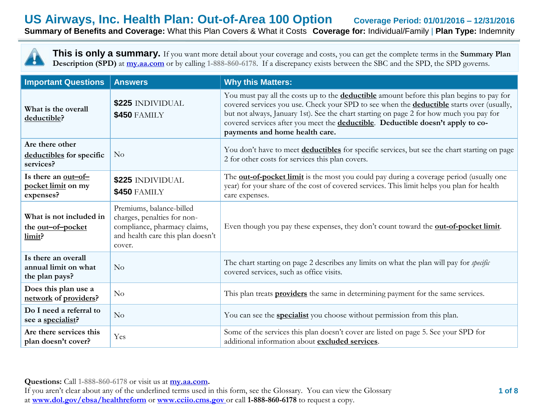## **US Airways, Inc. Health Plan: Out-of-Area 100 Option Coverage Period: 01/01/2016 – 12/31/2016 Summary of Benefits and Coverage:** What this Plan Covers & What it Costs **Coverage for:** Individual/Family | **Plan Type:** Indemnity

**This is only a summary.** If you want more detail about your coverage and costs, you can get the complete terms in the **Summary Plan Description (SPD)** at  $\frac{my.aa.com}{my.}$  or by calling 1-888-860-6178. If a discrepancy exists between the SBC and the SPD, the SPD governs.

| <b>Important Questions</b>                                    | <b>Answers</b>                                                                                                                         | <b>Why this Matters:</b>                                                                                                                                                                                                                                                                                                                                                                                             |
|---------------------------------------------------------------|----------------------------------------------------------------------------------------------------------------------------------------|----------------------------------------------------------------------------------------------------------------------------------------------------------------------------------------------------------------------------------------------------------------------------------------------------------------------------------------------------------------------------------------------------------------------|
| What is the overall<br>deductible?                            | \$225 INDIVIDUAL<br><b>\$450 FAMILY</b>                                                                                                | You must pay all the costs up to the <b>deductible</b> amount before this plan begins to pay for<br>covered services you use. Check your SPD to see when the <b>deductible</b> starts over (usually,<br>but not always, January 1st). See the chart starting on page 2 for how much you pay for<br>covered services after you meet the deductible. Deductible doesn't apply to co-<br>payments and home health care. |
| Are there other<br>deductibles for specific<br>services?      | No                                                                                                                                     | You don't have to meet deductibles for specific services, but see the chart starting on page<br>2 for other costs for services this plan covers.                                                                                                                                                                                                                                                                     |
| Is there an <u>out-of-</u><br>pocket limit on my<br>expenses? | \$225 INDIVIDUAL<br><b>\$450 FAMILY</b>                                                                                                | The <b>out-of-pocket limit</b> is the most you could pay during a coverage period (usually one<br>year) for your share of the cost of covered services. This limit helps you plan for health<br>care expenses.                                                                                                                                                                                                       |
| What is not included in<br>the out-of-pocket<br>limit?        | Premiums, balance-billed<br>charges, penalties for non-<br>compliance, pharmacy claims,<br>and health care this plan doesn't<br>cover. | Even though you pay these expenses, they don't count toward the <b>out-of-pocket limit</b> .                                                                                                                                                                                                                                                                                                                         |
| Is there an overall<br>annual limit on what<br>the plan pays? | No                                                                                                                                     | The chart starting on page 2 describes any limits on what the plan will pay for <i>specific</i><br>covered services, such as office visits.                                                                                                                                                                                                                                                                          |
| Does this plan use a<br>network of providers?                 | No                                                                                                                                     | This plan treats <b>providers</b> the same in determining payment for the same services.                                                                                                                                                                                                                                                                                                                             |
| Do I need a referral to<br>see a specialist?                  | No                                                                                                                                     | You can see the <b>specialist</b> you choose without permission from this plan.                                                                                                                                                                                                                                                                                                                                      |
| Are there services this<br>plan doesn't cover?                | Yes                                                                                                                                    | Some of the services this plan doesn't cover are listed on page 5. See your SPD for<br>additional information about excluded services.                                                                                                                                                                                                                                                                               |

**Questions:** Call **1-888-860-6178** or visit us at **my.aa.com.**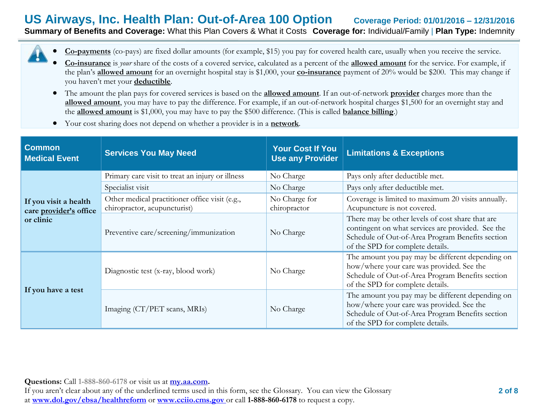## **US Airways, Inc. Health Plan: Out-of-Area 100 Option Coverage Period: 01/01/2016 – 12/31/2016 Summary of Benefits and Coverage:** What this Plan Covers & What it Costs **Coverage for:** Individual/Family | **Plan Type:** Indemnity

**Co-payments** (co-pays) are fixed dollar amounts (for example, \$15) you pay for covered health care, usually when you receive the service.

- **Co-insurance** is *your* share of the costs of a covered service, calculated as a percent of the **allowed amount** for the service. For example, if the plan's **allowed amount** for an overnight hospital stay is \$1,000, your **co-insurance** payment of 20% would be \$200. This may change if you haven't met your **deductible**.
- The amount the plan pays for covered services is based on the **allowed amount**. If an out-of-network **provider** charges more than the **allowed amount**, you may have to pay the difference. For example, if an out-of-network hospital charges \$1,500 for an overnight stay and the **allowed amount** is \$1,000, you may have to pay the \$500 difference. (This is called **balance billing**.)
- Your cost sharing does not depend on whether a provider is in a **network**.

| <b>Common</b><br><b>Services You May Need</b><br><b>Medical Event</b> |                                                                                | <b>Your Cost If You</b><br><b>Use any Provider</b> | <b>Limitations &amp; Exceptions</b>                                                                                                                                                           |  |
|-----------------------------------------------------------------------|--------------------------------------------------------------------------------|----------------------------------------------------|-----------------------------------------------------------------------------------------------------------------------------------------------------------------------------------------------|--|
|                                                                       | Primary care visit to treat an injury or illness                               | No Charge                                          | Pays only after deductible met.                                                                                                                                                               |  |
|                                                                       | Specialist visit                                                               | No Charge                                          | Pays only after deductible met.                                                                                                                                                               |  |
| If you visit a health<br>care provider's office                       | Other medical practitioner office visit (e.g.,<br>chiropractor, acupuncturist) | No Charge for<br>chiropractor                      | Coverage is limited to maximum 20 visits annually.<br>Acupuncture is not covered.                                                                                                             |  |
| or clinic                                                             | Preventive care/screening/immunization                                         | No Charge                                          | There may be other levels of cost share that are<br>contingent on what services are provided. See the<br>Schedule of Out-of-Area Program Benefits section<br>of the SPD for complete details. |  |
|                                                                       | Diagnostic test (x-ray, blood work)                                            | No Charge                                          | The amount you pay may be different depending on<br>how/where your care was provided. See the<br>Schedule of Out-of-Area Program Benefits section<br>of the SPD for complete details.         |  |
| If you have a test                                                    | Imaging (CT/PET scans, MRIs)                                                   | No Charge                                          | The amount you pay may be different depending on<br>how/where your care was provided. See the<br>Schedule of Out-of-Area Program Benefits section<br>of the SPD for complete details.         |  |

**Questions:** Call **1-888-860-6178** or visit us at **my.aa.com.**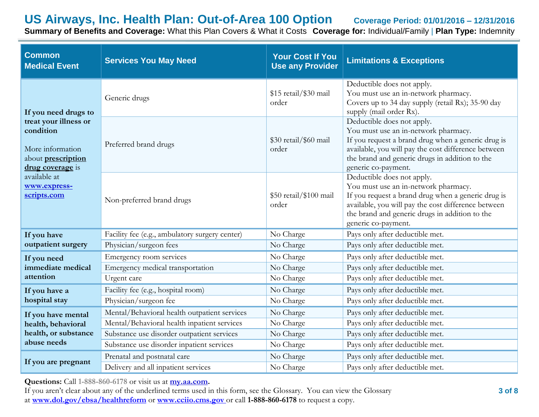**Summary of Benefits and Coverage:** What this Plan Covers & What it Costs **Coverage for:** Individual/Family | **Plan Type:** Indemnity

| <b>Common</b><br><b>Medical Event</b>                                                                   | <b>Services You May Need</b>                   |                                 | <b>Limitations &amp; Exceptions</b>                                                                                                                                                                                                                      |
|---------------------------------------------------------------------------------------------------------|------------------------------------------------|---------------------------------|----------------------------------------------------------------------------------------------------------------------------------------------------------------------------------------------------------------------------------------------------------|
| If you need drugs to                                                                                    | Generic drugs                                  | \$15 retail/\$30 mail<br>order  | Deductible does not apply.<br>You must use an in-network pharmacy.<br>Covers up to 34 day supply (retail Rx); 35-90 day<br>supply (mail order Rx).                                                                                                       |
| treat your illness or<br>condition<br>More information<br>about <b>prescription</b><br>drug coverage is | Preferred brand drugs                          | \$30 retail/\$60 mail<br>order  | Deductible does not apply.<br>You must use an in-network pharmacy.<br>If you request a brand drug when a generic drug is<br>available, you will pay the cost difference between<br>the brand and generic drugs in addition to the<br>generic co-payment. |
| available at<br>www.express-<br>scripts.com                                                             | Non-preferred brand drugs                      | \$50 retail/\$100 mail<br>order | Deductible does not apply.<br>You must use an in-network pharmacy.<br>If you request a brand drug when a generic drug is<br>available, you will pay the cost difference between<br>the brand and generic drugs in addition to the<br>generic co-payment. |
| If you have                                                                                             | Facility fee (e.g., ambulatory surgery center) | No Charge                       | Pays only after deductible met.                                                                                                                                                                                                                          |
| outpatient surgery                                                                                      | Physician/surgeon fees                         | No Charge                       | Pays only after deductible met.                                                                                                                                                                                                                          |
| If you need                                                                                             | Emergency room services                        | No Charge                       | Pays only after deductible met.                                                                                                                                                                                                                          |
| immediate medical                                                                                       | Emergency medical transportation               | No Charge                       | Pays only after deductible met.                                                                                                                                                                                                                          |
| attention                                                                                               | Urgent care                                    | No Charge                       | Pays only after deductible met.                                                                                                                                                                                                                          |
| If you have a                                                                                           | Facility fee (e.g., hospital room)             | No Charge                       | Pays only after deductible met.                                                                                                                                                                                                                          |
| hospital stay                                                                                           | Physician/surgeon fee                          | No Charge                       | Pays only after deductible met.                                                                                                                                                                                                                          |
| If you have mental                                                                                      | Mental/Behavioral health outpatient services   | No Charge                       | Pays only after deductible met.                                                                                                                                                                                                                          |
| health, behavioral                                                                                      | Mental/Behavioral health inpatient services    | No Charge                       | Pays only after deductible met.                                                                                                                                                                                                                          |
| health, or substance                                                                                    | Substance use disorder outpatient services     | No Charge                       | Pays only after deductible met.                                                                                                                                                                                                                          |
| abuse needs                                                                                             | Substance use disorder inpatient services      | No Charge                       | Pays only after deductible met.                                                                                                                                                                                                                          |
| If you are pregnant                                                                                     | Prenatal and postnatal care                    | No Charge                       | Pays only after deductible met.                                                                                                                                                                                                                          |
|                                                                                                         | Delivery and all inpatient services            | No Charge                       | Pays only after deductible met.                                                                                                                                                                                                                          |

**Questions:** Call **1-888-860-6178** or visit us at **my.aa.com.**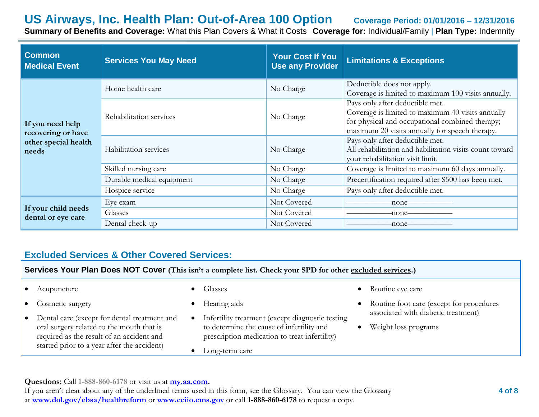**Summary of Benefits and Coverage:** What this Plan Covers & What it Costs **Coverage for:** Individual/Family | **Plan Type:** Indemnity

| <b>Common</b><br><b>Medical Event</b>     | <b>Services You May Need</b> | Your Cost If You<br><b>Use any Provider</b> | <b>Limitations &amp; Exceptions</b>                                                                                                                                                       |
|-------------------------------------------|------------------------------|---------------------------------------------|-------------------------------------------------------------------------------------------------------------------------------------------------------------------------------------------|
|                                           | Home health care             | No Charge                                   | Deductible does not apply.<br>Coverage is limited to maximum 100 visits annually.                                                                                                         |
| If you need help<br>recovering or have    | Rehabilitation services      | No Charge                                   | Pays only after deductible met.<br>Coverage is limited to maximum 40 visits annually<br>for physical and occupational combined therapy;<br>maximum 20 visits annually for speech therapy. |
| other special health<br>needs             | Habilitation services        | No Charge                                   | Pays only after deductible met.<br>All rehabilitation and habilitation visits count toward<br>your rehabilitation visit limit.                                                            |
|                                           | Skilled nursing care         | No Charge                                   | Coverage is limited to maximum 60 days annually.                                                                                                                                          |
|                                           | Durable medical equipment    | No Charge                                   | Precertification required after \$500 has been met.                                                                                                                                       |
|                                           | Hospice service              | No Charge                                   | Pays only after deductible met.                                                                                                                                                           |
|                                           | Eye exam                     | Not Covered                                 | -none-                                                                                                                                                                                    |
| If your child needs<br>dental or eye care | Glasses                      | Not Covered                                 | -none–                                                                                                                                                                                    |
|                                           | Dental check-up              | Not Covered                                 | -none-                                                                                                                                                                                    |

## **Excluded Services & Other Covered Services:**

**Services Your Plan Does NOT Cover (This isn't a complete list. Check your SPD for other excluded services.)**

- Acupuncture
- Cosmetic surgery
- Dental care (except for dental treatment and oral surgery related to the mouth that is required as the result of an accident and started prior to a year after the accident)
- Glasses
- Hearing aids
- Infertility treatment (except diagnostic testing to determine the cause of infertility and prescription medication to treat infertility)
- Long-term care
- Routine eye care
- Routine foot care (except for procedures associated with diabetic treatment)
- Weight loss programs

**Questions:** Call **1-888-860-6178** or visit us at **my.aa.com.**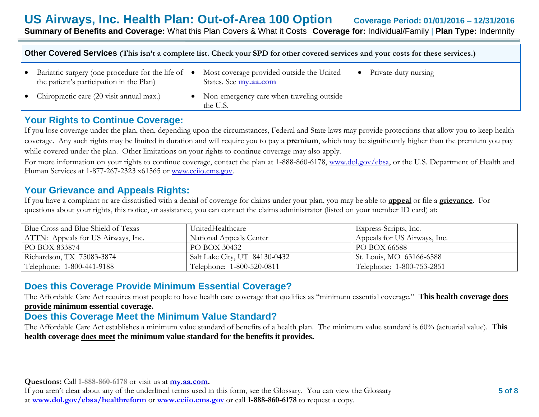| Other Covered Services (This isn't a complete list. Check your SPD for other covered services and your costs for these services.) |  |                                                                    |           |                      |
|-----------------------------------------------------------------------------------------------------------------------------------|--|--------------------------------------------------------------------|-----------|----------------------|
| • Bariatric surgery (one procedure for the life of •<br>the patient's participation in the Plan)                                  |  | Most coverage provided outside the United<br>States. See my.aa.com | $\bullet$ | Private-duty nursing |
| • Chiropractic care $(20 \text{ visit annual max.})$                                                                              |  | • Non-emergency care when traveling outside<br>the U.S.            |           |                      |

## **Your Rights to Continue Coverage:**

If you lose coverage under the plan, then, depending upon the circumstances, Federal and State laws may provide protections that allow you to keep health coverage. Any such rights may be limited in duration and will require you to pay a **premium**, which may be significantly higher than the premium you pay while covered under the plan. Other limitations on your rights to continue coverage may also apply.

For more information on your rights to continue coverage, contact the plan at 1-888-860-6178, www.dol.gov/ebsa, or the U.S. Department of Health and Human Services at 1-877-267-2323 x61565 or www.cciio.cms.gov.

### **Your Grievance and Appeals Rights:**

If you have a complaint or are dissatisfied with a denial of coverage for claims under your plan, you may be able to **appeal** or file a **grievance**. For questions about your rights, this notice, or assistance, you can contact the claims administrator (listed on your member ID card) at:

| Blue Cross and Blue Shield of Texas | UnitedHealthcare              | Express-Scripts, Inc.        |
|-------------------------------------|-------------------------------|------------------------------|
| ATTN: Appeals for US Airways, Inc.  | National Appeals Center       | Appeals for US Airways, Inc. |
| PO BOX 833874                       | PO BOX 30432                  | PO BOX 66588                 |
| Richardson, TX 75083-3874           | Salt Lake City, UT 84130-0432 | St. Louis, MO 63166-6588     |
| Telephone: 1-800-441-9188           | Telephone: 1-800-520-0811     | Telephone: 1-800-753-2851    |

## **Does this Coverage Provide Minimum Essential Coverage?**

The Affordable Care Act requires most people to have health care coverage that qualifies as "minimum essential coverage." **This health coverage does provide minimum essential coverage.**

## **Does this Coverage Meet the Minimum Value Standard?**

The Affordable Care Act establishes a minimum value standard of benefits of a health plan. The minimum value standard is 60% (actuarial value). **This health coverage does meet the minimum value standard for the benefits it provides.**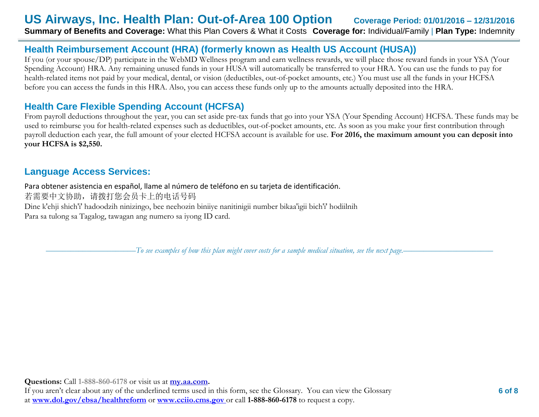## **US Airways, Inc. Health Plan: Out-of-Area 100 Option Coverage Period: 01/01/2016 – 12/31/2016 Summary of Benefits and Coverage:** What this Plan Covers & What it Costs **Coverage for:** Individual/Family | **Plan Type:** Indemnity

## **Health Reimbursement Account (HRA) (formerly known as Health US Account (HUSA))**

If you (or your spouse/DP) participate in the WebMD Wellness program and earn wellness rewards, we will place those reward funds in your YSA (Your Spending Account) HRA. Any remaining unused funds in your HUSA will automatically be transferred to your HRA. You can use the funds to pay for health-related items not paid by your medical, dental, or vision (deductibles, out-of-pocket amounts, etc.) You must use all the funds in your HCFSA before you can access the funds in this HRA. Also, you can access these funds only up to the amounts actually deposited into the HRA.

## **Health Care Flexible Spending Account (HCFSA)**

From payroll deductions throughout the year, you can set aside pre-tax funds that go into your YSA (Your Spending Account) HCFSA. These funds may be used to reimburse you for health-related expenses such as deductibles, out-of-pocket amounts, etc. As soon as you make your first contribution through payroll deduction each year, the full amount of your elected HCFSA account is available for use. **For 2016, the maximum amount you can deposit into your HCFSA is \$2,550.** 

## **Language Access Services:**

Para obtener asistencia en español, llame al número de teléfono en su tarjeta de identificación. 若需要中文协助,请拨打您会员卡上的电话号码 Dine k'ehji shich'i' hadoodzih ninizingo, bee neehozin biniiye nanitinigii number bikaa'igii bich'i' hodiilnih Para sa tulong sa Tagalog, tawagan ang numero sa iyong ID card.

––––––––––––––––––––––*To see examples of how this plan might cover costs for a sample medical situation, see the next page.–––––––––––*–––––––––––

**Questions:** Call **1-888-860-6178** or visit us at **my.aa.com.**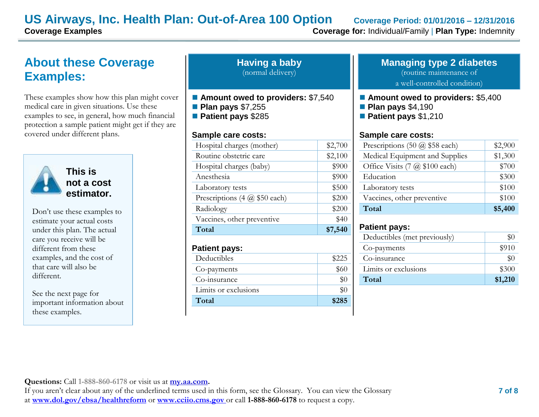## **About these Coverage Examples:**

These examples show how this plan might cover medical care in given situations. Use these examples to see, in general, how much financial protection a sample patient might get if they are covered under different plans.



**This is not a cost estimator.** 

Don't use these examples to estimate your actual costs under this plan. The actual care you receive will be different from these examples, and the cost of that care will also be different.

See the next page for important information about these examples.

| <b>Having a baby</b> |  |
|----------------------|--|
| (normal delivery)    |  |

- Amount owed to providers: \$7,540
- **Plan pays** \$7,255
- **Patient pays** \$285

#### **Sample care costs:**

| Total                         | \$7,540 |
|-------------------------------|---------|
| Vaccines, other preventive    | \$40    |
| Radiology                     | \$200   |
| Prescriptions (4 @ \$50 each) | \$200   |
| Laboratory tests              | \$500   |
| Anesthesia                    | \$900   |
| Hospital charges (baby)       | \$900   |
| Routine obstetric care        | \$2,100 |
| Hospital charges (mother)     | \$2,700 |
|                               |         |

#### **Patient pays:**

| Deductibles          | \$225 |
|----------------------|-------|
| Co-payments          | \$60  |
| Co-insurance         |       |
| Limits or exclusions |       |
| Total                | \$285 |

#### **Managing type 2 diabetes** (routine maintenance of

a well-controlled condition)

- **Amount owed to providers: \$5,400**
- **Plan pays** \$4,190
- **Patient pays** \$1,210

#### **Sample care costs:**

| Prescriptions $(50 \text{ @ } $58 \text{ each})$ | \$2,900 |
|--------------------------------------------------|---------|
| Medical Equipment and Supplies                   | \$1,300 |
| Office Visits (7 @ \$100 each)                   | \$700   |
| Education                                        | \$300   |
| Laboratory tests                                 | \$100   |
| Vaccines, other preventive                       | \$100   |
| Total                                            | \$5,400 |

#### **Patient pays:**

| Deductibles (met previously) |         |
|------------------------------|---------|
| Co-payments                  | \$910   |
| Co-insurance                 | \$0     |
| Limits or exclusions         | \$300   |
| Total                        | \$1,210 |

**Questions:** Call **1-888-860-6178** or visit us at **my.aa.com.**